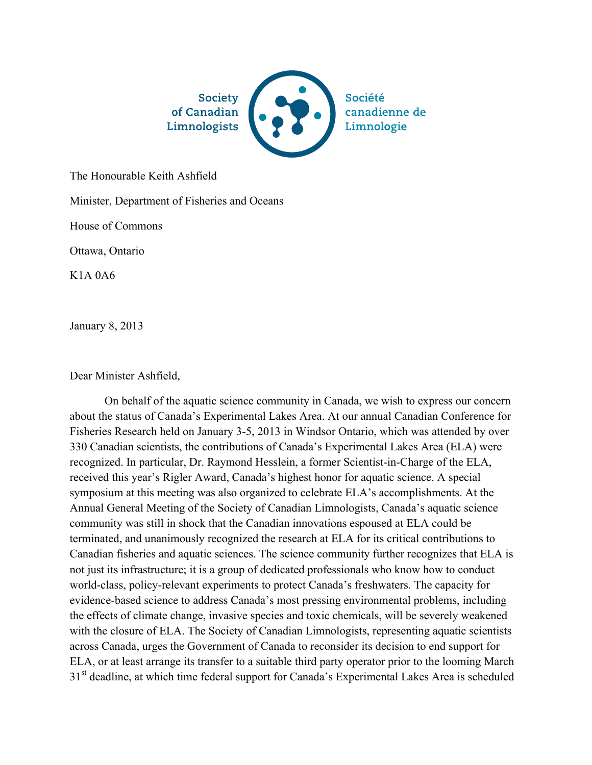

The Honourable Keith Ashfield

Minister, Department of Fisheries and Oceans

House of Commons

Ottawa, Ontario

K1A 0A6

January 8, 2013

Dear Minister Ashfield,

On behalf of the aquatic science community in Canada, we wish to express our concern about the status of Canada's Experimental Lakes Area. At our annual Canadian Conference for Fisheries Research held on January 3-5, 2013 in Windsor Ontario, which was attended by over 330 Canadian scientists, the contributions of Canada's Experimental Lakes Area (ELA) were recognized. In particular, Dr. Raymond Hesslein, a former Scientist-in-Charge of the ELA, received this year's Rigler Award, Canada's highest honor for aquatic science. A special symposium at this meeting was also organized to celebrate ELA's accomplishments. At the Annual General Meeting of the Society of Canadian Limnologists, Canada's aquatic science community was still in shock that the Canadian innovations espoused at ELA could be terminated, and unanimously recognized the research at ELA for its critical contributions to Canadian fisheries and aquatic sciences. The science community further recognizes that ELA is not just its infrastructure; it is a group of dedicated professionals who know how to conduct world-class, policy-relevant experiments to protect Canada's freshwaters. The capacity for evidence-based science to address Canada's most pressing environmental problems, including the effects of climate change, invasive species and toxic chemicals, will be severely weakened with the closure of ELA. The Society of Canadian Limnologists, representing aquatic scientists across Canada, urges the Government of Canada to reconsider its decision to end support for ELA, or at least arrange its transfer to a suitable third party operator prior to the looming March 31<sup>st</sup> deadline, at which time federal support for Canada's Experimental Lakes Area is scheduled